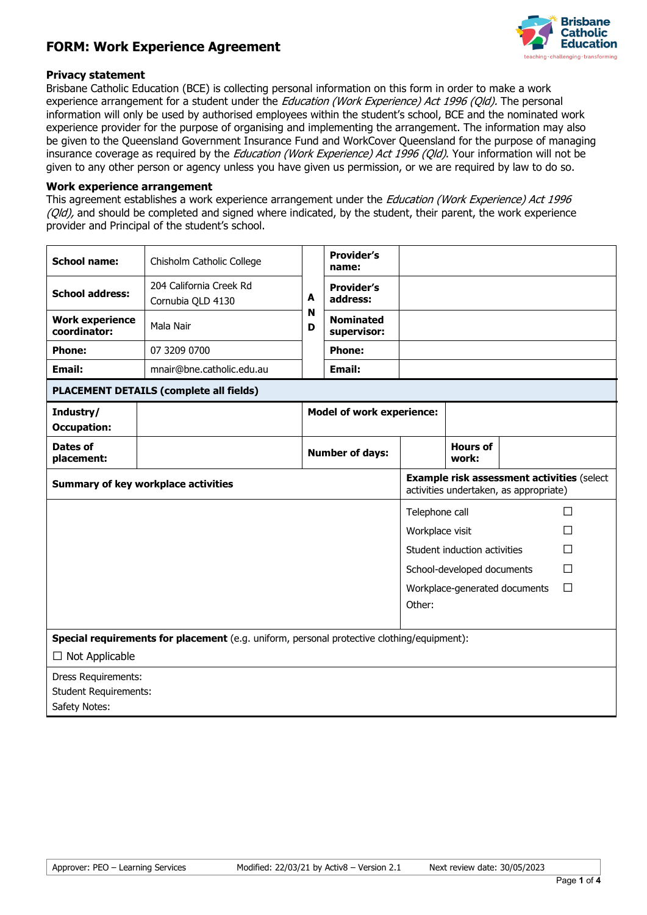# **FORM: Work Experience Agreement**



### **Privacy statement**

Brisbane Catholic Education (BCE) is collecting personal information on this form in order to make a work experience arrangement for a student under the *Education (Work Experience) Act 1996 (Qld)*. The personal information will only be used by authorised employees within the student's school, BCE and the nominated work experience provider for the purpose of organising and implementing the arrangement. The information may also be given to the Queensland Government Insurance Fund and WorkCover Queensland for the purpose of managing insurance coverage as required by the *Education (Work Experience) Act 1996 (Qld)*. Your information will not be given to any other person or agency unless you have given us permission, or we are required by law to do so.

#### **Work experience arrangement**

This agreement establishes a work experience arrangement under the *Education (Work Experience) Act 1996* (Qld), and should be completed and signed where indicated, by the student, their parent, the work experience provider and Principal of the student's school.

| <b>School name:</b>                        | Chisholm Catholic College                                                                  |        | <b>Provider's</b><br>name:       |                 |                                                                                             |   |
|--------------------------------------------|--------------------------------------------------------------------------------------------|--------|----------------------------------|-----------------|---------------------------------------------------------------------------------------------|---|
| <b>School address:</b>                     | 204 California Creek Rd<br>Cornubia QLD 4130                                               | A      | <b>Provider's</b><br>address:    |                 |                                                                                             |   |
| <b>Work experience</b><br>coordinator:     | Mala Nair                                                                                  | N<br>D | <b>Nominated</b><br>supervisor:  |                 |                                                                                             |   |
| <b>Phone:</b>                              | 07 3209 0700                                                                               |        | <b>Phone:</b>                    |                 |                                                                                             |   |
| Email:                                     | mnair@bne.catholic.edu.au                                                                  |        | Email:                           |                 |                                                                                             |   |
|                                            | <b>PLACEMENT DETAILS (complete all fields)</b>                                             |        |                                  |                 |                                                                                             |   |
| Industry/<br><b>Occupation:</b>            |                                                                                            |        | <b>Model of work experience:</b> |                 |                                                                                             |   |
| Dates of<br>placement:                     |                                                                                            |        | <b>Number of days:</b>           |                 | <b>Hours of</b><br>work:                                                                    |   |
| <b>Summary of key workplace activities</b> |                                                                                            |        |                                  |                 | <b>Example risk assessment activities (select</b><br>activities undertaken, as appropriate) |   |
|                                            |                                                                                            |        |                                  | Telephone call  |                                                                                             | П |
|                                            |                                                                                            |        |                                  | Workplace visit |                                                                                             | П |
|                                            |                                                                                            |        |                                  |                 | Student induction activities                                                                | П |
|                                            |                                                                                            |        |                                  |                 | School-developed documents                                                                  | П |
|                                            |                                                                                            |        |                                  |                 | Workplace-generated documents                                                               | П |
|                                            |                                                                                            |        |                                  | Other:          |                                                                                             |   |
|                                            | Special requirements for placement (e.g. uniform, personal protective clothing/equipment): |        |                                  |                 |                                                                                             |   |
| $\Box$ Not Applicable                      |                                                                                            |        |                                  |                 |                                                                                             |   |
| Dress Requirements:                        |                                                                                            |        |                                  |                 |                                                                                             |   |
| <b>Student Requirements:</b>               |                                                                                            |        |                                  |                 |                                                                                             |   |
| Safety Notes:                              |                                                                                            |        |                                  |                 |                                                                                             |   |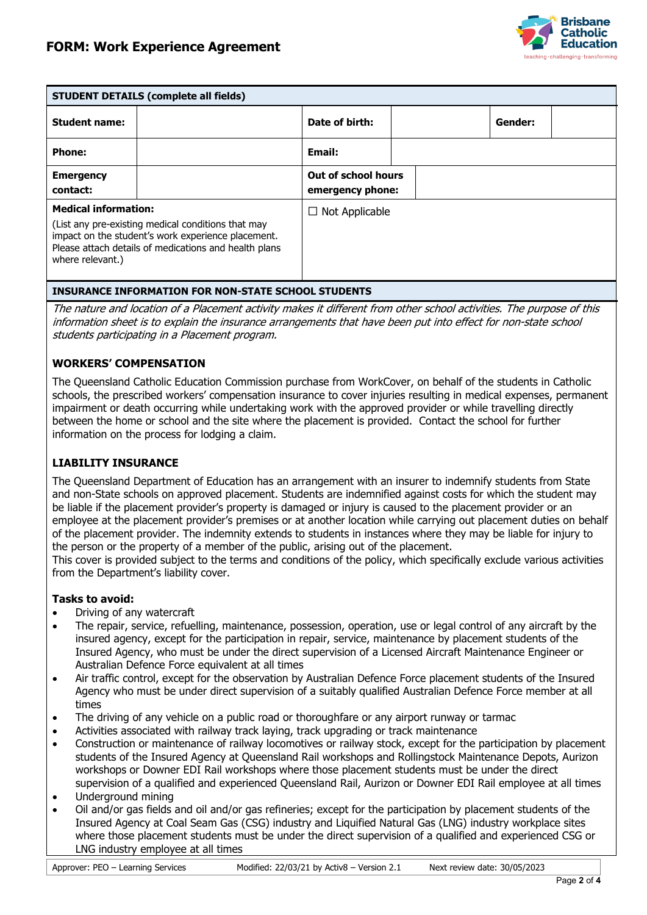

| <b>STUDENT DETAILS (complete all fields)</b>                                                          |                                                                                                             |                                         |         |
|-------------------------------------------------------------------------------------------------------|-------------------------------------------------------------------------------------------------------------|-----------------------------------------|---------|
| <b>Student name:</b>                                                                                  |                                                                                                             | Date of birth:                          | Gender: |
| <b>Phone:</b>                                                                                         |                                                                                                             | <b>Email:</b>                           |         |
| <b>Emergency</b><br>contact:                                                                          |                                                                                                             | Out of school hours<br>emergency phone: |         |
| <b>Medical information:</b><br>(List any pre-existing medical conditions that may<br>where relevant.) | impact on the student's work experience placement.<br>Please attach details of medications and health plans | $\Box$ Not Applicable                   |         |

# **INSURANCE INFORMATION FOR NON-STATE SCHOOL STUDENTS**

The nature and location of a Placement activity makes it different from other school activities. The purpose of this information sheet is to explain the insurance arrangements that have been put into effect for non-state school students participating in a Placement program.

### **WORKERS' COMPENSATION**

The Queensland Catholic Education Commission purchase from WorkCover, on behalf of the students in Catholic schools, the prescribed workers' compensation insurance to cover injuries resulting in medical expenses, permanent impairment or death occurring while undertaking work with the approved provider or while travelling directly between the home or school and the site where the placement is provided. Contact the school for further information on the process for lodging a claim.

## **LIABILITY INSURANCE**

The Queensland Department of Education has an arrangement with an insurer to indemnify students from State and non-State schools on approved placement. Students are indemnified against costs for which the student may be liable if the placement provider's property is damaged or injury is caused to the placement provider or an employee at the placement provider's premises or at another location while carrying out placement duties on behalf of the placement provider. The indemnity extends to students in instances where they may be liable for injury to the person or the property of a member of the public, arising out of the placement.

This cover is provided subject to the terms and conditions of the policy, which specifically exclude various activities from the Department's liability cover.

### **Tasks to avoid:**

- Driving of any watercraft
- The repair, service, refuelling, maintenance, possession, operation, use or legal control of any aircraft by the insured agency, except for the participation in repair, service, maintenance by placement students of the Insured Agency, who must be under the direct supervision of a Licensed Aircraft Maintenance Engineer or Australian Defence Force equivalent at all times
- Air traffic control, except for the observation by Australian Defence Force placement students of the Insured Agency who must be under direct supervision of a suitably qualified Australian Defence Force member at all times
- The driving of any vehicle on a public road or thoroughfare or any airport runway or tarmac
- Activities associated with railway track laying, track upgrading or track maintenance
- Construction or maintenance of railway locomotives or railway stock, except for the participation by placement students of the Insured Agency at Queensland Rail workshops and Rollingstock Maintenance Depots, Aurizon workshops or Downer EDI Rail workshops where those placement students must be under the direct supervision of a qualified and experienced Queensland Rail, Aurizon or Downer EDI Rail employee at all times
- Underground mining
- Oil and/or gas fields and oil and/or gas refineries; except for the participation by placement students of the Insured Agency at Coal Seam Gas (CSG) industry and Liquified Natural Gas (LNG) industry workplace sites where those placement students must be under the direct supervision of a qualified and experienced CSG or LNG industry employee at all times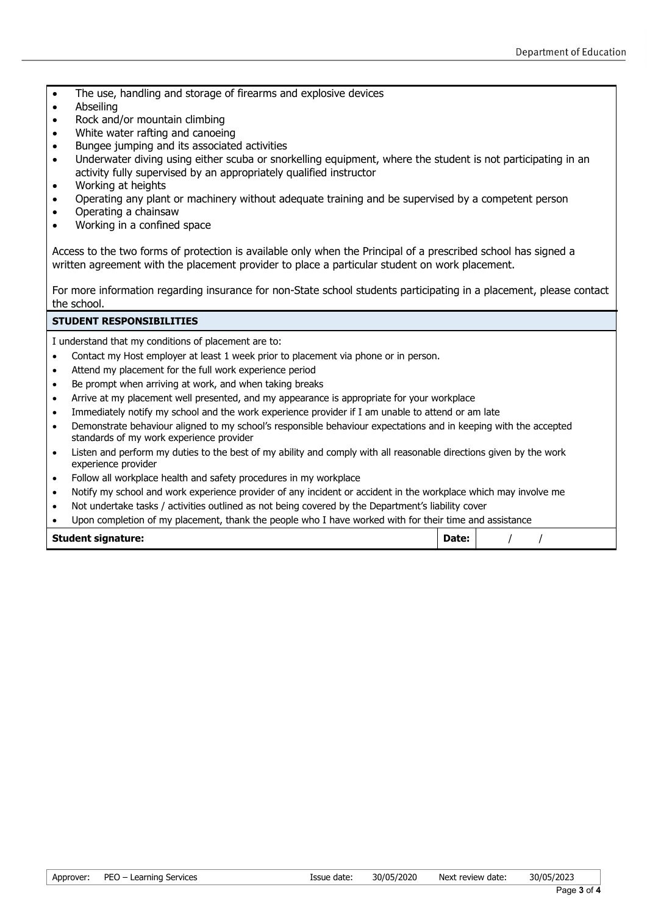- The use, handling and storage of firearms and explosive devices
- Abseiling
- Rock and/or mountain climbing
- White water rafting and canoeing
- Bungee jumping and its associated activities
- Underwater diving using either scuba or snorkelling equipment, where the student is not participating in an activity fully supervised by an appropriately qualified instructor
- Working at heights
- Operating any plant or machinery without adequate training and be supervised by a competent person
- Operating a chainsaw
- Working in a confined space

Access to the two forms of protection is available only when the Principal of a prescribed school has signed a written agreement with the placement provider to place a particular student on work placement.

For more information regarding insurance for non-State school students participating in a placement, please contact the school.

#### **STUDENT RESPONSIBILITIES**

I understand that my conditions of placement are to:

- Contact my Host employer at least 1 week prior to placement via phone or in person.
- Attend my placement for the full work experience period
- Be prompt when arriving at work, and when taking breaks
- Arrive at my placement well presented, and my appearance is appropriate for your workplace
- Immediately notify my school and the work experience provider if I am unable to attend or am late
- Demonstrate behaviour aligned to my school's responsible behaviour expectations and in keeping with the accepted standards of my work experience provider
- Listen and perform my duties to the best of my ability and comply with all reasonable directions given by the work experience provider
- Follow all workplace health and safety procedures in my workplace
- Notify my school and work experience provider of any incident or accident in the workplace which may involve me
- Not undertake tasks / activities outlined as not being covered by the Department's liability cover
- Upon completion of my placement, thank the people who I have worked with for their time and assistance

| <b>Student signature:</b> | Date: |  |
|---------------------------|-------|--|
|                           |       |  |